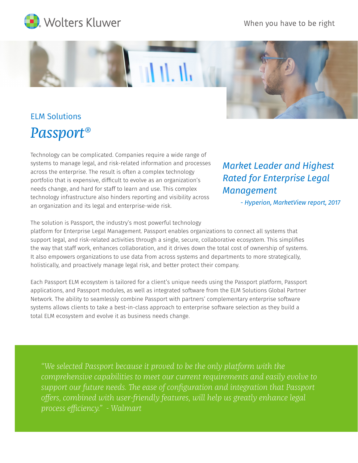

When you have to be right



# *Passport®* ELM Solutions

Technology can be complicated. Companies require a wide range of systems to manage legal, and risk-related information and processes across the enterprise. The result is often a complex technology portfolio that is expensive, difficult to evolve as an organization's needs change, and hard for staff to learn and use. This complex technology infrastructure also hinders reporting and visibility across an organization and its legal and enterprise-wide risk.

*Market Leader and Highest Rated for Enterprise Legal Management*

*- Hyperion, MarketView report, 2017*

The solution is Passport, the industry's most powerful technology

platform for Enterprise Legal Management. Passport enables organizations to connect all systems that support legal, and risk-related activities through a single, secure, collaborative ecosystem. This simplifies the way that staff work, enhances collaboration, and it drives down the total cost of ownership of systems. It also empowers organizations to use data from across systems and departments to more strategically, holistically, and proactively manage legal risk, and better protect their company.

Each Passport ELM ecosystem is tailored for a client's unique needs using the Passport platform, Passport applications, and Passport modules, as well as integrated software from the ELM Solutions Global Partner Network. The ability to seamlessly combine Passport with partners' complementary enterprise software systems allows clients to take a best-in-class approach to enterprise software selection as they build a total ELM ecosystem and evolve it as business needs change.

*"We selected Passport because it proved to be the only platform with the comprehensive capabilities to meet our current requirements and easily evolve to*  support our future needs. The ease of configuration and integration that Passport offers, combined with user-friendly features, will help us greatly enhance legal *process eciency." - Walmart*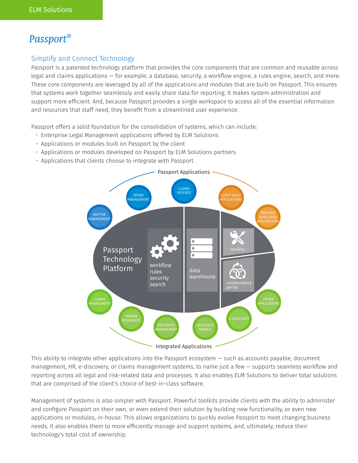# *Passport®*

### Simplify and Connect Technology

Passport is a patented technology platform that provides the core components that are common and reusable across legal and claims applications — for example, a database, security, a workflow engine, a rules engine, search, and more. These core components are leveraged by all of the applications and modules that are built on Passport. This ensures that systems work together seamlessly and easily share data for reporting. It makes system administration and support more efficient. And, because Passport provides a single workspace to access all of the essential information and resources that staff need, they benefit from a streamlined user experience.

Passport offers a solid foundation for the consolidation of systems, which can include:

- Enterprise Legal Management applications offered by ELM Solutions
- Applications or modules built on Passport by the client
- Applications or modules developed on Passport by ELM Solutions partners
- Applications that clients choose to integrate with Passport



Integrated Applications

This ability to integrate other applications into the Passport ecosystem — such as accounts payable, document management, HR, e-discovery, or claims management systems, to name just a few — supports seamless workflow and reporting across all legal and risk-related data and processes. It also enables ELM Solutions to deliver total solutions that are comprised of the client's choice of best-in-class software.

Management of systems is also simpler with Passport. Powerful toolkits provide clients with the ability to administer and configure Passport on their own, or even extend their solution by building new functionality, or even new applications or modules, in-house. This allows organizations to quickly evolve Passport to meet changing business needs. It also enables them to more efficiently manage and support systems, and, ultimately, reduce their technology's total cost of ownership.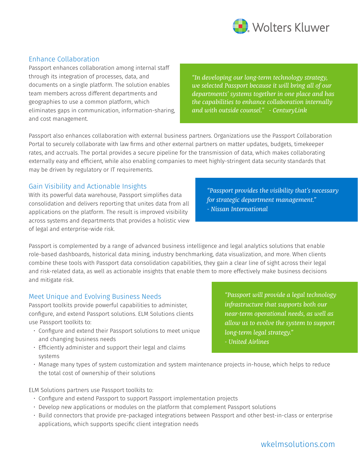

### Enhance Collaboration

Passport enhances collaboration among internal staff through its integration of processes, data, and documents on a single platform. The solution enables team members across different departments and geographies to use a common platform, which eliminates gaps in communication, information-sharing, and cost management.

*"In developing our long-term technology strategy, we selected Passport because it will bring all of our departments' systems together in one place and has the capabilities to enhance collaboration internally and with outside counsel." - CenturyLink*

Passport also enhances collaboration with external business partners. Organizations use the Passport Collaboration Portal to securely collaborate with law firms and other external partners on matter updates, budgets, timekeeper rates, and accruals. The portal provides a secure pipeline for the transmission of data, which makes collaborating externally easy and efficient, while also enabling companies to meet highly-stringent data security standards that may be driven by regulatory or IT requirements.

#### Gain Visibility and Actionable Insights

With its powerful data warehouse, Passport simplifies data consolidation and delivers reporting that unites data from all applications on the platform. The result is improved visibility across systems and departments that provides a holistic view of legal and enterprise-wide risk.

*"Passport provides the visibility that's necessary for strategic department management." - Nissan International*

Passport is complemented by a range of advanced business intelligence and legal analytics solutions that enable role-based dashboards, historical data mining, industry benchmarking, data visualization, and more. When clients combine these tools with Passport data consolidation capabilities, they gain a clear line of sight across their legal and risk-related data, as well as actionable insights that enable them to more effectively make business decisions and mitigate risk.

#### Meet Unique and Evolving Business Needs

Passport toolkits provide powerful capabilities to administer, configure, and extend Passport solutions. ELM Solutions clients use Passport toolkits to:

- Configure and extend their Passport solutions to meet unique • and changing business needs
- Efficiently administer and support their legal and claims systems

*"Passport will provide a legal technology infrastructure that supports both our near-term operational needs, as well as allow us to evolve the system to support long-term legal strategy." - United Airlines*

 • Manage many types of system customization and system maintenance projects in-house, which helps to reduce the total cost of ownership of their solutions

ELM Solutions partners use Passport toolkits to:

- Configure and extend Passport to support Passport implementation projects
- Develop new applications or modules on the platform that complement Passport solutions
- Build connectors that provide pre-packaged integrations between Passport and other best-in-class or enterprise • applications, which supports specific client integration needs